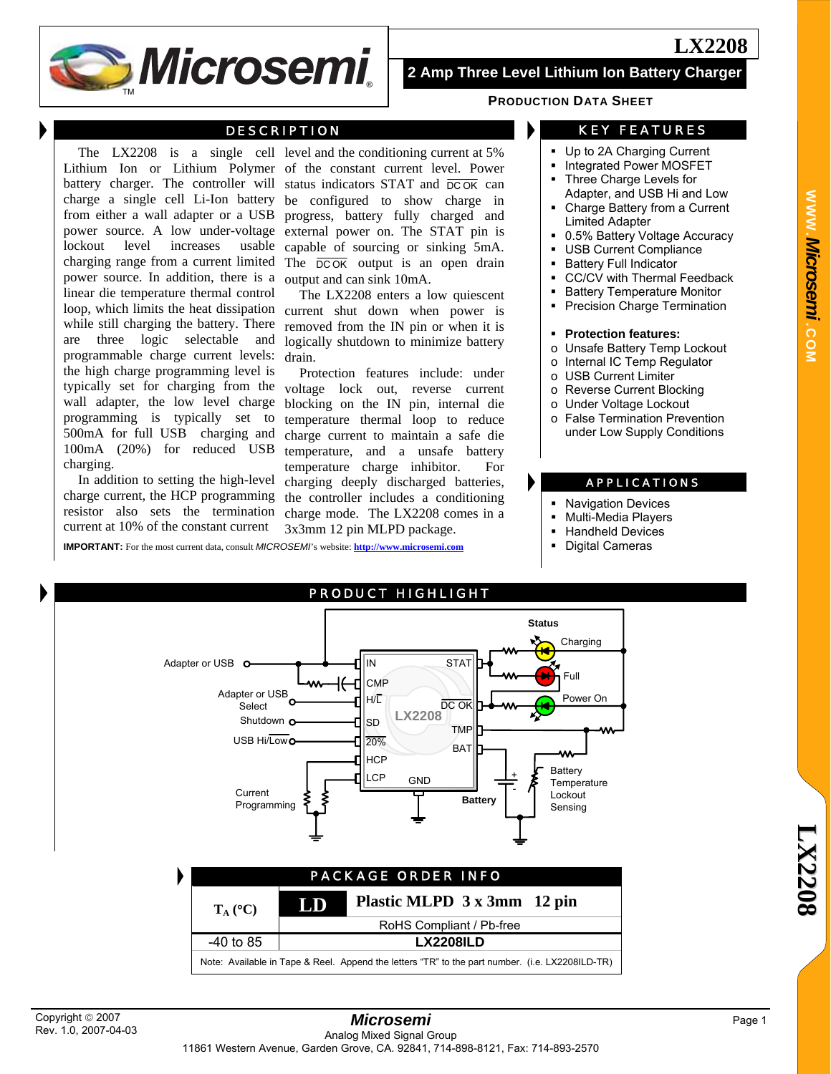

# **2 Amp Three Level Lithium Ion Battery Charger**

#### **DESCRIPTION**

power source. In addition, there is a output and can sink 10mA. linear die temperature thermal control are three logic selectable and programmable charge current levels: the high charge programming level is typically set for charging from the wall adapter, the low level charge programming is typically set to 500mA for full USB charging and 100mA (20%) for reduced USB charging.

In addition to setting the high-level charge current, the HCP programming resistor also sets the termination current at 10% of the constant current

The LX2208 is a single cell level and the conditioning current at 5% Lithium Ion or Lithium Polymer of the constant current level. Power battery charger. The controller will status indicators STAT and  $\overline{DC\,OK}$  can charge a single cell Li-Ion battery be configured to show charge in from either a wall adapter or a USB progress, battery fully charged and power source. A low under-voltage external power on. The STAT pin is lockout level increases usable capable of sourcing or sinking 5mA. charging range from a current limited The  $\overline{DCOK}$  output is an open drain

loop, which limits the heat dissipation current shut down when power is while still charging the battery. There removed from the IN pin or when it is The LX2208 enters a low quiescent logically shutdown to minimize battery drain.

Protection features include: under voltage lock out, reverse current blocking on the IN pin, internal die temperature thermal loop to reduce charge current to maintain a safe die temperature, and a unsafe battery temperature charge inhibitor. For charging deeply discharged batteries, the controller includes a conditioning charge mode. The LX2208 comes in a 3x3mm 12 pin MLPD package.

**IMPORTANT:** For the most current data, consult *MICROSEMI*'s website: **http://www.microsemi.com**

**PRODUCTION DATA SHEET**

## KEY FEATURES

- Up to 2A Charging Current
- Integrated Power MOSFET
- Three Charge Levels for Adapter, and USB Hi and Low
- Charge Battery from a Current Limited Adapter
- 0.5% Battery Voltage Accuracy
- **USB Current Compliance**
- Battery Full Indicator
- CC/CV with Thermal Feedback
- Battery Temperature Monitor
- Precision Charge Termination

#### **Protection features:**

- o Unsafe Battery Temp Lockout
- o Internal IC Temp Regulator
- o USB Current Limiter
- o Reverse Current Blocking
- o Under Voltage Lockout
- o False Termination Prevention under Low Supply Conditions

#### APPLICATIONS

- Navigation Devices
- Multi-Media Players
- Handheld Devices
- Digital Cameras

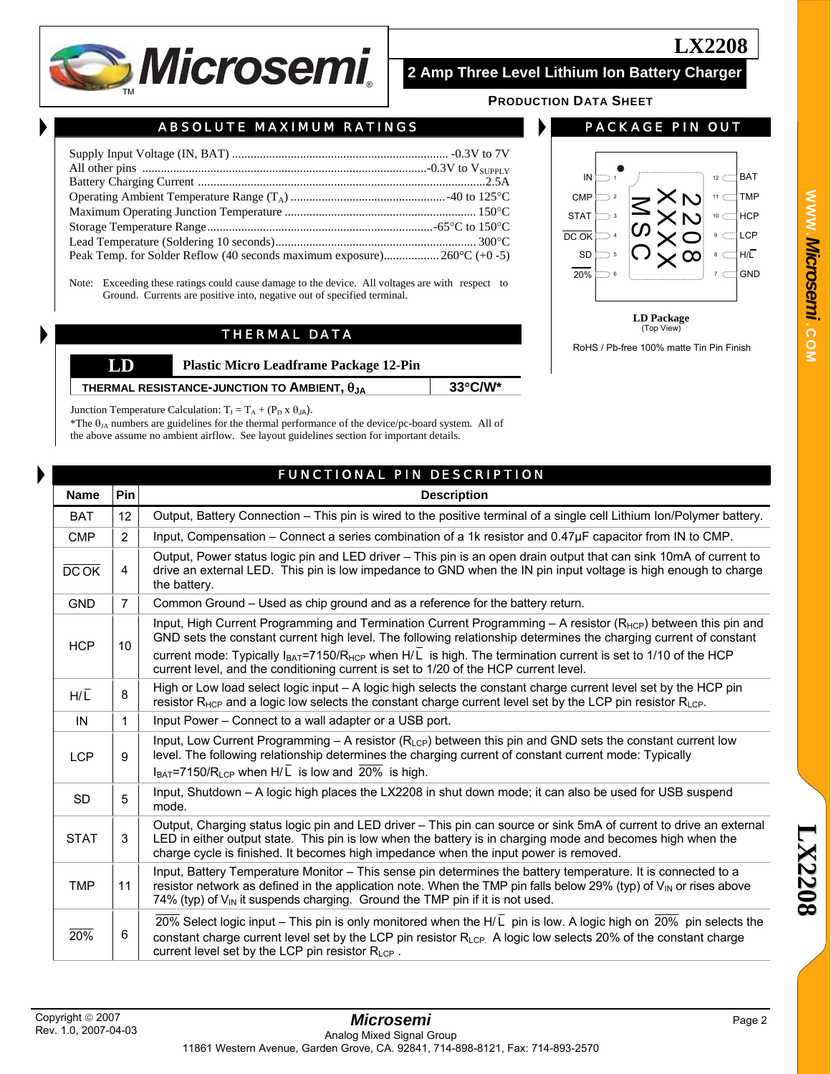

# **2 Amp Three Level Lithium Ion Battery Charger**

**PRODUCTION DATA SHEET**

# ABSOLUTE MAXIMUM RATINGS

| Peak Temp. for Solder Reflow (40 seconds maximum exposure) $260^{\circ}C$ (+0 -5) |  |
|-----------------------------------------------------------------------------------|--|

Note: Exceeding these ratings could cause damage to the device. All voltages are with respect to Ground. Currents are positive into, negative out of specified terminal.

## THERMAL DATA

| LD | <b>Plastic Micro Leadframe Package 12-Pin</b>         |                   |
|----|-------------------------------------------------------|-------------------|
|    | THERMAL RESISTANCE-JUNCTION TO AMBIENT, $\theta_{JA}$ | $33^{\circ}$ C/W* |

Junction Temperature Calculation:  $T_J = T_A + (P_D \times \theta_{JA})$ .

\*The  $\theta_{JA}$  numbers are guidelines for the thermal performance of the device/pc-board system. All of the above assume no ambient airflow. See layout guidelines section for important details.

**Name Pin Description** 

## PACKAGE PIN OUT

**LX2208**



**LD Package**  (Top View)

RoHS / Pb-free 100% matte Tin Pin Finish

| rnal |  |
|------|--|
| е    |  |

| Input, Compensation – Connect a series combination of a 1k resistor and 0.47µF capacitor from IN to CMP.<br><b>CMP</b><br>$\overline{2}$<br>Output, Power status logic pin and LED driver - This pin is an open drain output that can sink 10mA of current to<br>DCOK<br>4<br>the battery.<br>Common Ground – Used as chip ground and as a reference for the battery return.<br><b>GND</b><br>$\overline{7}$<br>GND sets the constant current high level. The following relationship determines the charging current of constant<br><b>HCP</b><br>10<br>current mode: Typically $I_{BAT}$ =7150/R <sub>HCP</sub> when H/L is high. The termination current is set to 1/10 of the HCP<br>current level, and the conditioning current is set to 1/20 of the HCP current level.<br>High or Low load select logic input – A logic high selects the constant charge current level set by the HCP pin<br>8<br>$H/\overline{L}$<br>resistor R <sub>HCP</sub> and a logic low selects the constant charge current level set by the LCP pin resistor R <sub>LCP</sub> .<br>Input Power - Connect to a wall adapter or a USB port.<br>$\mathbf{1}$<br>IN<br>Input, Low Current Programming $-$ A resistor ( $R_{LCP}$ ) between this pin and GND sets the constant current low<br>level. The following relationship determines the charging current of constant current mode: Typically<br>9<br><b>LCP</b><br>$I_{BAT}$ =7150/R <sub>LCP</sub> when H/L is low and $\overline{20\%}$ is high.<br>Input, Shutdown - A logic high places the LX2208 in shut down mode; it can also be used for USB suspend<br>5<br><b>SD</b><br>mode.<br><b>STAT</b><br>3<br>LED in either output state. This pin is low when the battery is in charging mode and becomes high when the<br>charge cycle is finished. It becomes high impedance when the input power is removed.<br>Input, Battery Temperature Monitor - This sense pin determines the battery temperature. It is connected to a<br>resistor network as defined in the application note. When the TMP pin falls below 29% (typ) of $V_{\text{IN}}$ or rises above<br><b>TMP</b><br>11<br>74% (typ) of $V_{\text{IN}}$ it suspends charging. Ground the TMP pin if it is not used.<br>6<br>20%<br>constant charge current level set by the LCP pin resistor R <sub>LCP.</sub> A logic low selects 20% of the constant charge<br>current level set by the LCP pin resistor RLCP. | <b>BAT</b> | 12 | Output, Battery Connection – This pin is wired to the positive terminal of a single cell Lithium Ion/Polymer battery.     |
|-------------------------------------------------------------------------------------------------------------------------------------------------------------------------------------------------------------------------------------------------------------------------------------------------------------------------------------------------------------------------------------------------------------------------------------------------------------------------------------------------------------------------------------------------------------------------------------------------------------------------------------------------------------------------------------------------------------------------------------------------------------------------------------------------------------------------------------------------------------------------------------------------------------------------------------------------------------------------------------------------------------------------------------------------------------------------------------------------------------------------------------------------------------------------------------------------------------------------------------------------------------------------------------------------------------------------------------------------------------------------------------------------------------------------------------------------------------------------------------------------------------------------------------------------------------------------------------------------------------------------------------------------------------------------------------------------------------------------------------------------------------------------------------------------------------------------------------------------------------------------------------------------------------------------------------------------------------------------------------------------------------------------------------------------------------------------------------------------------------------------------------------------------------------------------------------------------------------------------------------------------------------------------------------------------------------------------------------------------------------------------------------------------------------|------------|----|---------------------------------------------------------------------------------------------------------------------------|
|                                                                                                                                                                                                                                                                                                                                                                                                                                                                                                                                                                                                                                                                                                                                                                                                                                                                                                                                                                                                                                                                                                                                                                                                                                                                                                                                                                                                                                                                                                                                                                                                                                                                                                                                                                                                                                                                                                                                                                                                                                                                                                                                                                                                                                                                                                                                                                                                                   |            |    |                                                                                                                           |
|                                                                                                                                                                                                                                                                                                                                                                                                                                                                                                                                                                                                                                                                                                                                                                                                                                                                                                                                                                                                                                                                                                                                                                                                                                                                                                                                                                                                                                                                                                                                                                                                                                                                                                                                                                                                                                                                                                                                                                                                                                                                                                                                                                                                                                                                                                                                                                                                                   |            |    | drive an external LED. This pin is low impedance to GND when the IN pin input voltage is high enough to charge            |
|                                                                                                                                                                                                                                                                                                                                                                                                                                                                                                                                                                                                                                                                                                                                                                                                                                                                                                                                                                                                                                                                                                                                                                                                                                                                                                                                                                                                                                                                                                                                                                                                                                                                                                                                                                                                                                                                                                                                                                                                                                                                                                                                                                                                                                                                                                                                                                                                                   |            |    |                                                                                                                           |
|                                                                                                                                                                                                                                                                                                                                                                                                                                                                                                                                                                                                                                                                                                                                                                                                                                                                                                                                                                                                                                                                                                                                                                                                                                                                                                                                                                                                                                                                                                                                                                                                                                                                                                                                                                                                                                                                                                                                                                                                                                                                                                                                                                                                                                                                                                                                                                                                                   |            |    | Input, High Current Programming and Termination Current Programming - A resistor (R <sub>HCP</sub> ) between this pin and |
|                                                                                                                                                                                                                                                                                                                                                                                                                                                                                                                                                                                                                                                                                                                                                                                                                                                                                                                                                                                                                                                                                                                                                                                                                                                                                                                                                                                                                                                                                                                                                                                                                                                                                                                                                                                                                                                                                                                                                                                                                                                                                                                                                                                                                                                                                                                                                                                                                   |            |    |                                                                                                                           |
|                                                                                                                                                                                                                                                                                                                                                                                                                                                                                                                                                                                                                                                                                                                                                                                                                                                                                                                                                                                                                                                                                                                                                                                                                                                                                                                                                                                                                                                                                                                                                                                                                                                                                                                                                                                                                                                                                                                                                                                                                                                                                                                                                                                                                                                                                                                                                                                                                   |            |    |                                                                                                                           |
|                                                                                                                                                                                                                                                                                                                                                                                                                                                                                                                                                                                                                                                                                                                                                                                                                                                                                                                                                                                                                                                                                                                                                                                                                                                                                                                                                                                                                                                                                                                                                                                                                                                                                                                                                                                                                                                                                                                                                                                                                                                                                                                                                                                                                                                                                                                                                                                                                   |            |    |                                                                                                                           |
|                                                                                                                                                                                                                                                                                                                                                                                                                                                                                                                                                                                                                                                                                                                                                                                                                                                                                                                                                                                                                                                                                                                                                                                                                                                                                                                                                                                                                                                                                                                                                                                                                                                                                                                                                                                                                                                                                                                                                                                                                                                                                                                                                                                                                                                                                                                                                                                                                   |            |    |                                                                                                                           |
|                                                                                                                                                                                                                                                                                                                                                                                                                                                                                                                                                                                                                                                                                                                                                                                                                                                                                                                                                                                                                                                                                                                                                                                                                                                                                                                                                                                                                                                                                                                                                                                                                                                                                                                                                                                                                                                                                                                                                                                                                                                                                                                                                                                                                                                                                                                                                                                                                   |            |    |                                                                                                                           |
|                                                                                                                                                                                                                                                                                                                                                                                                                                                                                                                                                                                                                                                                                                                                                                                                                                                                                                                                                                                                                                                                                                                                                                                                                                                                                                                                                                                                                                                                                                                                                                                                                                                                                                                                                                                                                                                                                                                                                                                                                                                                                                                                                                                                                                                                                                                                                                                                                   |            |    | Output, Charging status logic pin and LED driver - This pin can source or sink 5mA of current to drive an external        |
|                                                                                                                                                                                                                                                                                                                                                                                                                                                                                                                                                                                                                                                                                                                                                                                                                                                                                                                                                                                                                                                                                                                                                                                                                                                                                                                                                                                                                                                                                                                                                                                                                                                                                                                                                                                                                                                                                                                                                                                                                                                                                                                                                                                                                                                                                                                                                                                                                   |            |    |                                                                                                                           |
|                                                                                                                                                                                                                                                                                                                                                                                                                                                                                                                                                                                                                                                                                                                                                                                                                                                                                                                                                                                                                                                                                                                                                                                                                                                                                                                                                                                                                                                                                                                                                                                                                                                                                                                                                                                                                                                                                                                                                                                                                                                                                                                                                                                                                                                                                                                                                                                                                   |            |    | 20% Select logic input – This pin is only monitored when the H/L pin is low. A logic high on 20% pin selects the          |

FUNCTIONAL PIN DESCRIPTION

**WWW.***Microsemi .***COM**

Copyright © 2007 Rev. 1.0, 2007-04-03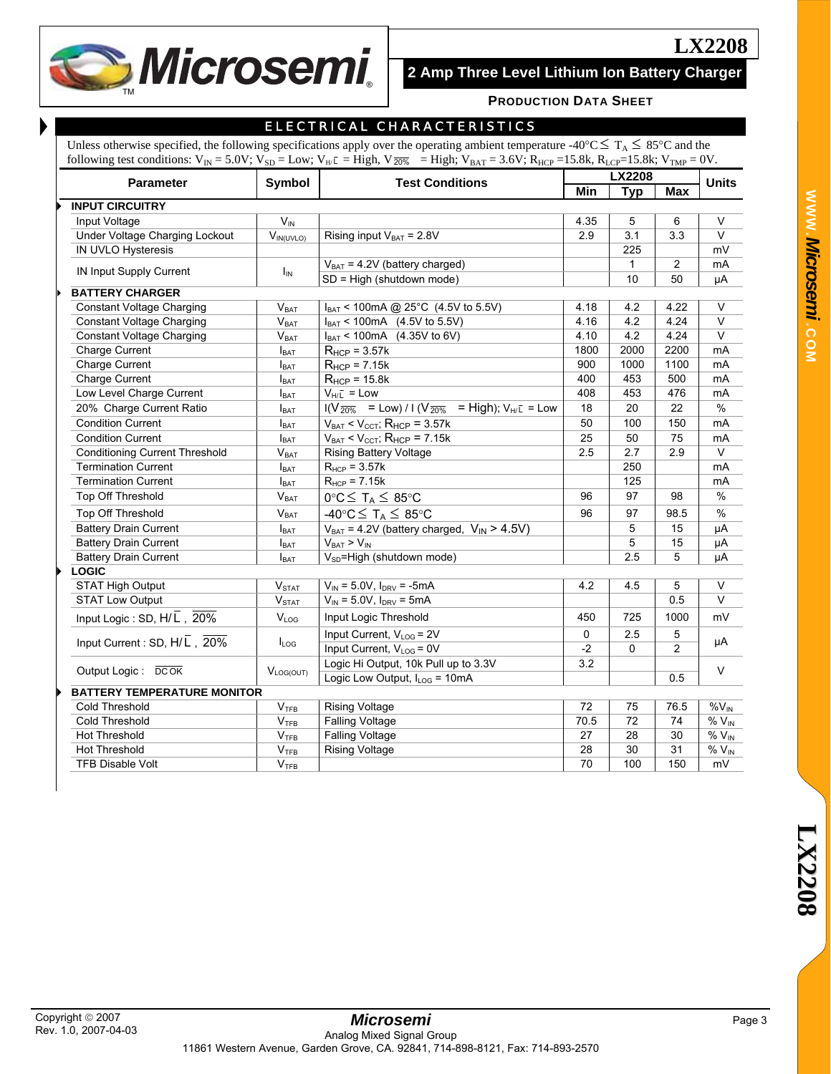**Microsemi** 

# **2 Amp Three Level Lithium Ion Battery Charger**

**LX2208**

#### **PRODUCTION DATA SHEET**

| I<br>I<br>I |
|-------------|

#### ELECTRICAL CHARACTERISTICS

Unless otherwise specified, the following specifications apply over the operating ambient temperature -40°C  $\leq T_A \leq 85$ °C and the following test conditions:  $V_{IN} = 5.0V$ ;  $V_{SD} = Low$ ;  $V_{H/L} = High$ ,  $V_{Z0\%} = High$ ;  $V_{BAT} = 3.6V$ ;  $R_{HCP} = 15.8k$ ;  $R_{LCP} = 15.8k$ ;  $V_{TMP} = 0V$ .

| <b>Parameter</b>                                         | Symbol<br><b>Test Conditions</b> |                                                                                  | LX2208      |              |                | <b>Units</b> |
|----------------------------------------------------------|----------------------------------|----------------------------------------------------------------------------------|-------------|--------------|----------------|--------------|
|                                                          |                                  |                                                                                  | Min         | <b>Typ</b>   | <b>Max</b>     |              |
| <b>INPUT CIRCUITRY</b>                                   |                                  |                                                                                  |             |              |                |              |
| Input Voltage                                            | $V_{IN}$                         |                                                                                  | 4.35        | 5            | 6              | V            |
| Under Voltage Charging Lockout                           | $V_{IN(UVLO)}$                   | Rising input $V_{BAT} = 2.8V$                                                    | 2.9         | 3.1          | 3.3            | $\vee$       |
| IN UVLO Hysteresis                                       |                                  |                                                                                  |             | 225          |                | mV           |
|                                                          |                                  | $V_{BAT} = 4.2V$ (battery charged)                                               |             | $\mathbf{1}$ | $\overline{2}$ | mA           |
| <b>IN Input Supply Current</b>                           | $I_{\text{IN}}$                  | SD = High (shutdown mode)                                                        |             | 10           | 50             | μA           |
| <b>BATTERY CHARGER</b>                                   |                                  |                                                                                  |             |              |                |              |
| Constant Voltage Charging                                | $V_{BAT}$                        | $I_{BAT}$ < 100mA @ 25°C (4.5V to 5.5V)                                          | 4.18        | 4.2          | 4.22           | V            |
| <b>Constant Voltage Charging</b>                         | V <sub>BAT</sub>                 | $I_{BAT}$ < 100mA (4.5V to 5.5V)                                                 | 4.16        | 4.2          | 4.24           | $\vee$       |
| <b>Constant Voltage Charging</b>                         | $V_{BAT}$                        | $I_{BAT}$ < 100mA (4.35V to 6V)                                                  | 4.10        | 4.2          | 4.24           | $\mathsf V$  |
| Charge Current                                           | $I_{BAT}$                        | $R_{\text{HCP}}$ = 3.57k                                                         | 1800        | 2000         | 2200           | mA           |
| Charge Current                                           | <b>I</b> BAT                     | $R_{HCP}$ = 7.15 $k$                                                             | 900         | 1000         | 1100           | mA           |
| Charge Current                                           | $I_{\text{BAT}}$                 | $R_{HCP}$ = 15.8k                                                                | 400         | 453          | 500            | mA           |
| Low Level Charge Current                                 | $I_{BAT}$                        | $V_{H/\bar{L}}$ = Low                                                            | 408         | 453          | 476            | mA           |
| 20% Charge Current Ratio                                 | <b>I</b> BAT                     | $I(V_{\overline{20\%}} = Low) / I (V_{\overline{20\%}} = High)$ ; $V_{HI} = Low$ | 18          | 20           | 22             | %            |
| <b>Condition Current</b>                                 | $I_{\text{BAT}}$                 | $\overline{V_{BAT}}$ < $V_{CCT}$ ; R <sub>HCP</sub> = 3.57k                      | 50          | 100          | 150            | mA           |
| <b>Condition Current</b>                                 | $I_{BAT}$                        | $V_{BAT}$ < $V_{CCT}$ ; R <sub>HCP</sub> = 7.15k                                 | 25          | 50           | 75             | mA           |
| <b>Conditioning Current Threshold</b>                    | V <sub>BAT</sub>                 | Rising Battery Voltage                                                           | 2.5         | 2.7          | 2.9            | $\vee$       |
| <b>Termination Current</b>                               | $I_{BAT}$                        | $R_{HCP}$ = 3.57 $k$                                                             |             | 250          |                | mA           |
| <b>Termination Current</b>                               | <b>I</b> BAT                     | $R_{HCP}$ = 7.15 $k$                                                             |             | 125          |                | mA           |
| Top Off Threshold                                        | $\mathsf{V}_{\mathsf{BAT}}$      | $0^{\circ}C \leq T_A \leq 85^{\circ}C$                                           | 96          | 97           | 98             | %            |
| Top Off Threshold                                        | V <sub>BAT</sub>                 | -40°C $\leq$ T <sub>A</sub> $\leq$ 85°C                                          | 96          | 97           | 98.5           | %            |
| <b>Battery Drain Current</b>                             | $I_{BAT}$                        | $V_{BAT}$ = 4.2V (battery charged, $V_{IN}$ > 4.5V)                              |             | 5            | 15             | μA           |
| <b>Battery Drain Current</b>                             | <b>I</b> BAT                     | $V_{BAT} > V_{IN}$                                                               |             | 5            | 15             | μA           |
| <b>Battery Drain Current</b>                             | <b>I</b> BAT                     | V <sub>SD</sub> =High (shutdown mode)                                            |             | 2.5          | 5              | μA           |
| <b>LOGIC</b>                                             |                                  |                                                                                  |             |              |                |              |
| <b>STAT High Output</b>                                  | $V_{\text{STAT}}$                | $V_{IN}$ = 5.0V, $I_{DRV}$ = -5mA                                                | 4.2         | 4.5          | 5              | V            |
| <b>STAT Low Output</b>                                   | V <sub>STAT</sub>                | $V_{IN}$ = 5.0V, $I_{DRV}$ = 5mA                                                 |             |              | 0.5            | V            |
| Input Logic: SD, $H/\overline{L}$ , 20%                  | $V_{LOG}$                        | Input Logic Threshold                                                            | 450         | 725          | 1000           | mV           |
|                                                          |                                  | Input Current, V <sub>LOG</sub> = 2V                                             | $\mathbf 0$ | 2.5          | 5              |              |
| Input Current : SD, $H/\overline{L}$ , $\overline{20\%}$ | $I_{LOG}$                        | Input Current, $V_{LOG} = 0V$                                                    | $-2$        | 0            | $\overline{2}$ | μA           |
|                                                          |                                  | Logic Hi Output, 10k Pull up to 3.3V                                             | 3.2         |              |                |              |
| Output Logic: DCOK                                       | $V_{LOG(OUT)}$                   | Logic Low Output, I <sub>LOG</sub> = 10mA                                        |             |              | 0.5            | V            |
| <b>BATTERY TEMPERATURE MONITOR</b>                       |                                  |                                                                                  |             |              |                |              |
| Cold Threshold                                           | V <sub>TFB</sub>                 | <b>Rising Voltage</b>                                                            | 72          | 75           | 76.5           | $%V_{IN}$    |
| Cold Threshold                                           | V <sub>TFB</sub>                 | <b>Falling Voltage</b>                                                           | 70.5        | 72           | 74             | $%V_{IN}$    |
| <b>Hot Threshold</b>                                     | V <sub>TFB</sub>                 | <b>Falling Voltage</b>                                                           | 27          | 28           | 30             | $%V_{IN}$    |
| <b>Hot Threshold</b>                                     | V <sub>TFB</sub>                 | <b>Rising Voltage</b>                                                            | 28          | 30           | 31             | $%V_{IN}$    |
| <b>TFB Disable Volt</b>                                  | V <sub>TFB</sub>                 |                                                                                  | 70          | 100          | 150            | mV           |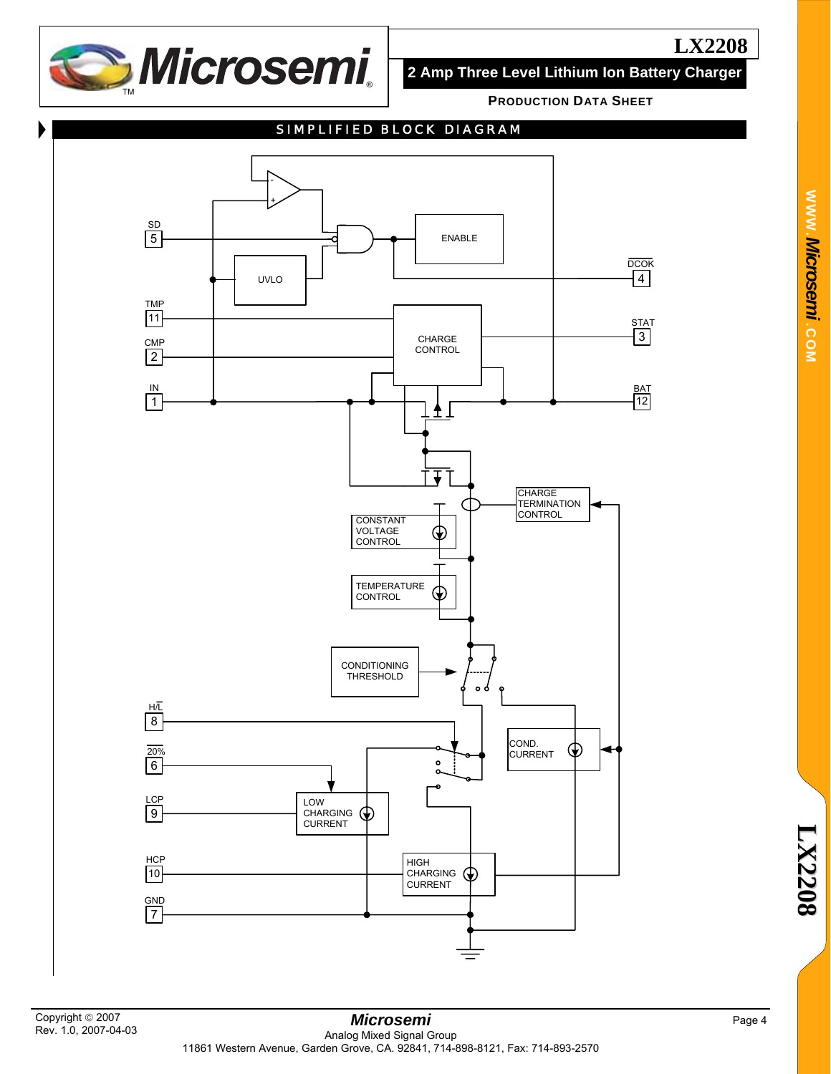

**2 Amp Three Level Lithium Ion Battery Charger**

**PRODUCTION DATA SHEET**





**WWW.**

*Microsemi .*

**COM**

**8**

Page 4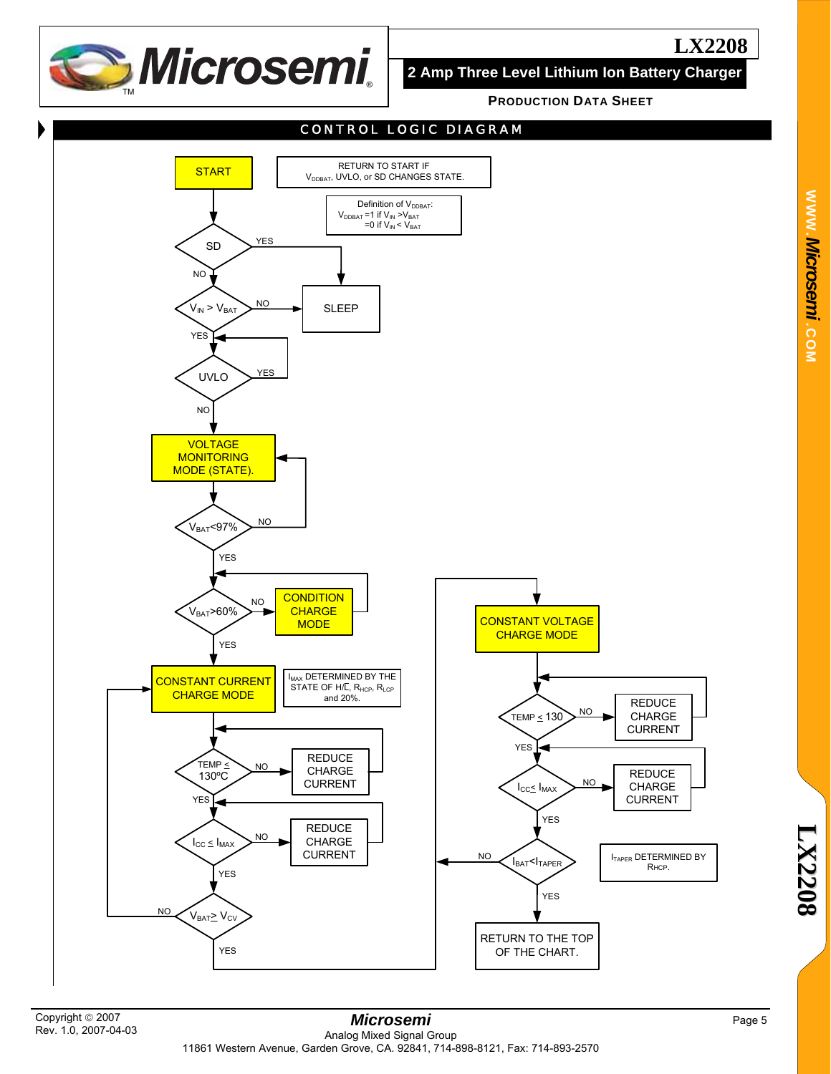

**2 Amp Three Level Lithium Ion Battery Charger**

**PRODUCTION DATA SHEET**



Copyright © 2007 Rev. 1.0, 2007-04-03

#### *Microsemi*  Analog Mixed Signal Group 11861 Western Avenue, Garden Grove, CA. 92841, 714-898-8121, Fax: 714-893-2570

Page 5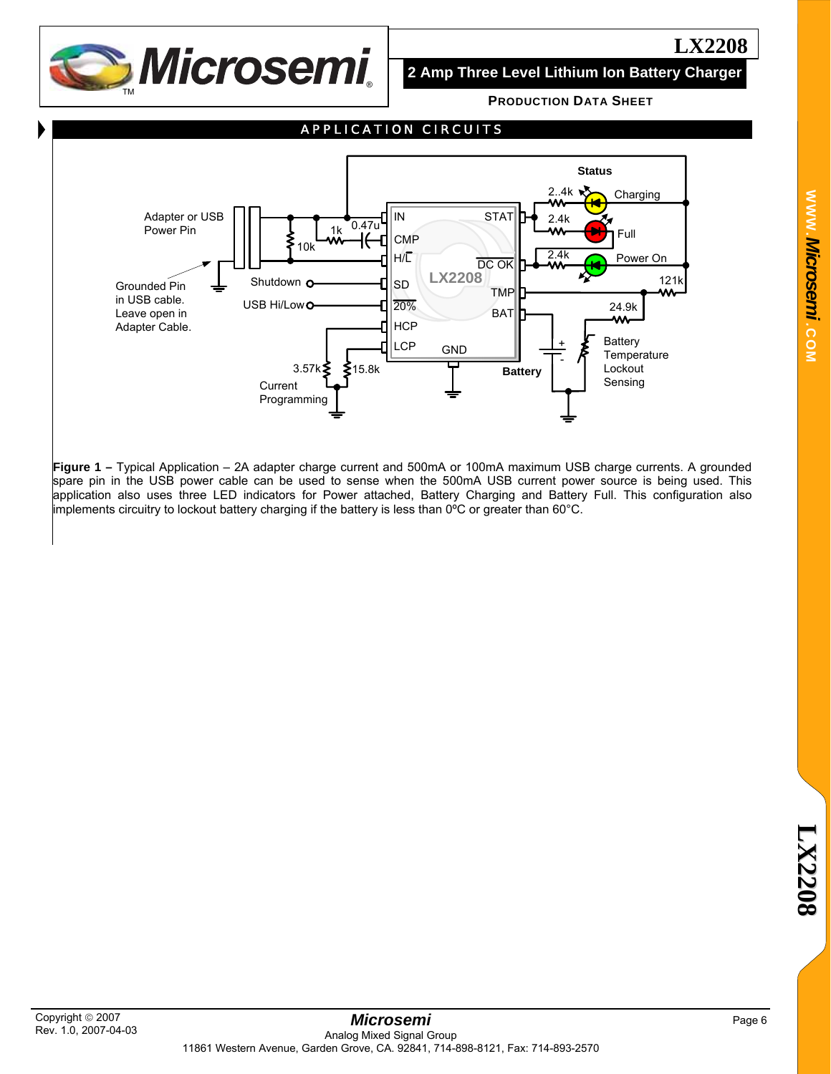

**2 Amp Three Level Lithium Ion Battery Charger**

**PRODUCTION DATA SHEET**



**Figure 1 –** Typical Application – 2A adapter charge current and 500mA or 100mA maximum USB charge currents. A grounded spare pin in the USB power cable can be used to sense when the 500mA USB current power source is being used. This application also uses three LED indicators for Power attached, Battery Charging and Battery Full. This configuration also implements circuitry to lockout battery charging if the battery is less than 0°C or greater than 60°C.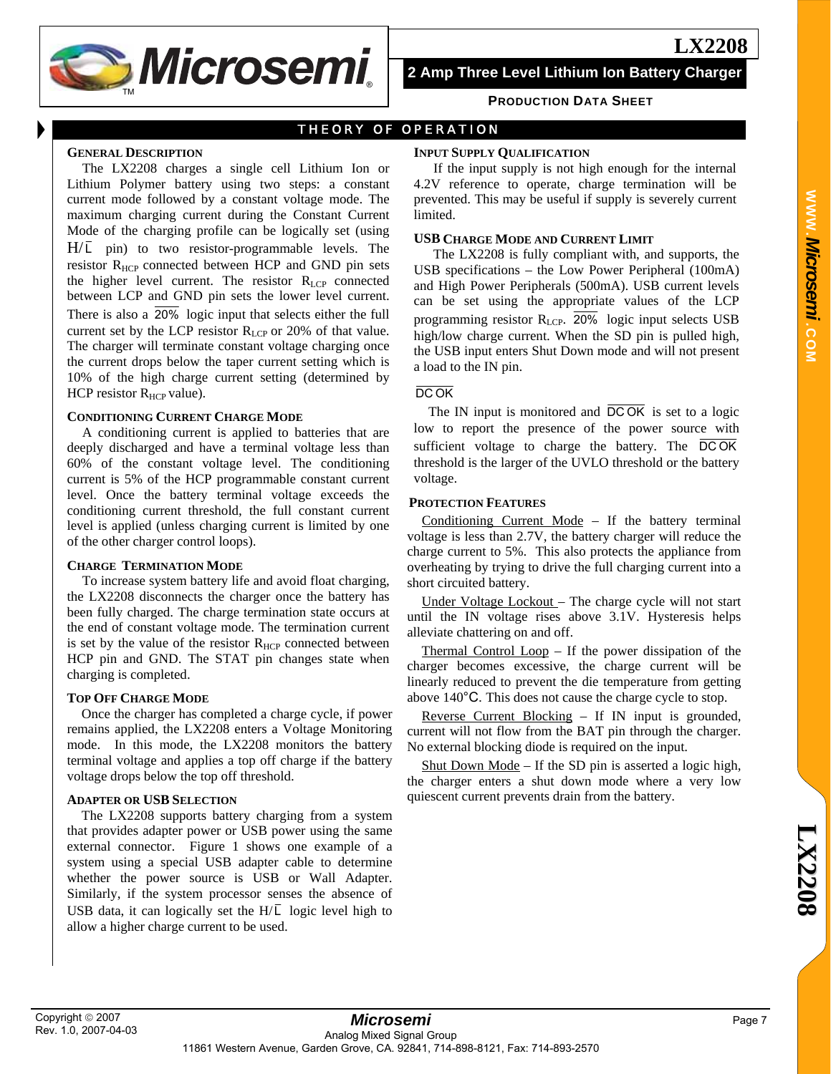**S**Microsemi

**2 Amp Three Level Lithium Ion Battery Charger**

**PRODUCTION DATA SHEET**

# THEORY OF OPERATION

#### **GENERAL DESCRIPTION**

The LX2208 charges a single cell Lithium Ion or Lithium Polymer battery using two steps: a constant current mode followed by a constant voltage mode. The maximum charging current during the Constant Current Mode of the charging profile can be logically set (using  $H/\overline{L}$  pin) to two resistor-programmable levels. The resistor R<sub>HCP</sub> connected between HCP and GND pin sets the higher level current. The resistor  $R_{\text{LCP}}$  connected between LCP and GND pin sets the lower level current. There is also a  $\overline{20\%}$  logic input that selects either the full current set by the LCP resistor  $R_{LCP}$  or 20% of that value. The charger will terminate constant voltage charging once the current drops below the taper current setting which is 10% of the high charge current setting (determined by HCP resistor  $R_{\text{HCP}}$  value).

#### **CONDITIONING CURRENT CHARGE MODE**

A conditioning current is applied to batteries that are deeply discharged and have a terminal voltage less than 60% of the constant voltage level. The conditioning current is 5% of the HCP programmable constant current level. Once the battery terminal voltage exceeds the conditioning current threshold, the full constant current level is applied (unless charging current is limited by one of the other charger control loops).

#### **CHARGE TERMINATION MODE**

To increase system battery life and avoid float charging, the LX2208 disconnects the charger once the battery has been fully charged. The charge termination state occurs at the end of constant voltage mode. The termination current is set by the value of the resistor  $R_{\text{HCP}}$  connected between HCP pin and GND. The STAT pin changes state when charging is completed.

#### **TOP OFF CHARGE MODE**

Once the charger has completed a charge cycle, if power remains applied, the LX2208 enters a Voltage Monitoring mode. In this mode, the LX2208 monitors the battery terminal voltage and applies a top off charge if the battery voltage drops below the top off threshold.

#### **ADAPTER OR USB SELECTION**

The LX2208 supports battery charging from a system that provides adapter power or USB power using the same external connector. Figure 1 shows one example of a system using a special USB adapter cable to determine whether the power source is USB or Wall Adapter. Similarly, if the system processor senses the absence of USB data, it can logically set the  $H/\overline{L}$  logic level high to allow a higher charge current to be used.

#### **INPUT SUPPLY QUALIFICATION**

If the input supply is not high enough for the internal 4.2V reference to operate, charge termination will be prevented. This may be useful if supply is severely current limited.

#### **USB CHARGE MODE AND CURRENT LIMIT**

The LX2208 is fully compliant with, and supports, the USB specifications – the Low Power Peripheral (100mA) and High Power Peripherals (500mA). USB current levels can be set using the appropriate values of the LCP programming resistor R<sub>LCP</sub>. 20% logic input selects USB high/low charge current. When the SD pin is pulled high, the USB input enters Shut Down mode and will not present a load to the IN pin.

#### DC OK

The IN input is monitored and  $\overline{DCOK}$  is set to a logic low to report the presence of the power source with sufficient voltage to charge the battery. The  $\overline{DCOK}$ threshold is the larger of the UVLO threshold or the battery voltage.

#### **PROTECTION FEATURES**

Conditioning Current Mode – If the battery terminal voltage is less than 2.7V, the battery charger will reduce the charge current to 5%. This also protects the appliance from overheating by trying to drive the full charging current into a short circuited battery.

Under Voltage Lockout – The charge cycle will not start until the IN voltage rises above 3.1V. Hysteresis helps alleviate chattering on and off.

Thermal Control Loop – If the power dissipation of the charger becomes excessive, the charge current will be linearly reduced to prevent the die temperature from getting above 140°C. This does not cause the charge cycle to stop.

Reverse Current Blocking – If IN input is grounded, current will not flow from the BAT pin through the charger. No external blocking diode is required on the input.

Shut Down Mode – If the SD pin is asserted a logic high, the charger enters a shut down mode where a very low quiescent current prevents drain from the battery.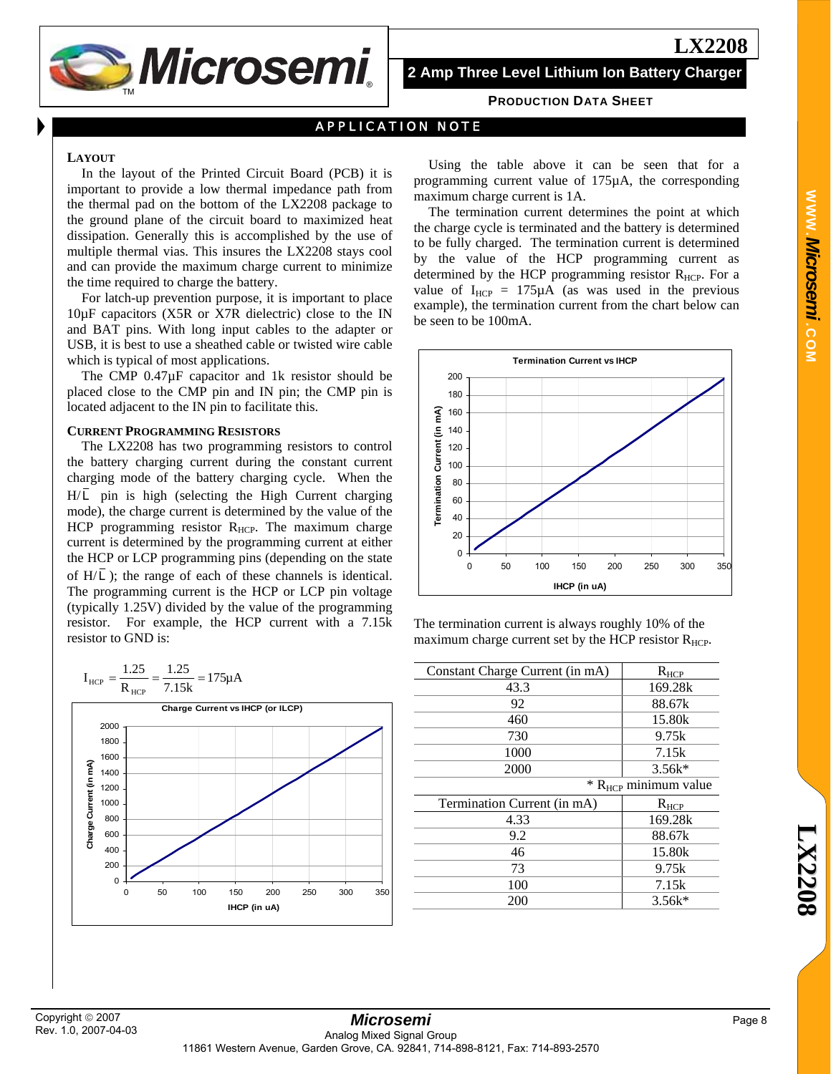

**2 Amp Three Level Lithium Ion Battery Charger**

#### **PRODUCTION DATA SHEET**

## APPLICATION NOTE

#### **LAYOUT**

In the layout of the Printed Circuit Board (PCB) it is important to provide a low thermal impedance path from the thermal pad on the bottom of the LX2208 package to the ground plane of the circuit board to maximized heat dissipation. Generally this is accomplished by the use of multiple thermal vias. This insures the LX2208 stays cool and can provide the maximum charge current to minimize the time required to charge the battery.

For latch-up prevention purpose, it is important to place 10µF capacitors (X5R or X7R dielectric) close to the IN and BAT pins. With long input cables to the adapter or USB, it is best to use a sheathed cable or twisted wire cable which is typical of most applications.

The CMP 0.47µF capacitor and 1k resistor should be placed close to the CMP pin and IN pin; the CMP pin is located adjacent to the IN pin to facilitate this.

#### **CURRENT PROGRAMMING RESISTORS**

The LX2208 has two programming resistors to control the battery charging current during the constant current charging mode of the battery charging cycle. When the  $H/\overline{L}$  pin is high (selecting the High Current charging mode), the charge current is determined by the value of the HCP programming resistor  $R_{HCP}$ . The maximum charge current is determined by the programming current at either the HCP or LCP programming pins (depending on the state of  $H/\overline{L}$ ); the range of each of these channels is identical. The programming current is the HCP or LCP pin voltage (typically 1.25V) divided by the value of the programming resistor. For example, the HCP current with a 7.15k resistor to GND is:



Using the table above it can be seen that for a programming current value of 175µA, the corresponding maximum charge current is 1A.

The termination current determines the point at which the charge cycle is terminated and the battery is determined to be fully charged. The termination current is determined by the value of the HCP programming current as determined by the HCP programming resistor  $R_{HCP}$ . For a value of  $I_{HCP} = 175 \mu A$  (as was used in the previous example), the termination current from the chart below can be seen to be 100mA.



The termination current is always roughly 10% of the maximum charge current set by the HCP resistor  $R_{\text{HCP}}$ .

| $R_{HCP}$                          |
|------------------------------------|
| 169.28k                            |
| 88.67k                             |
| 15.80k                             |
| 9.75k                              |
| 7.15k                              |
| $3.56k*$                           |
| $*$ R <sub>HCP</sub> minimum value |
| $R_{HCP}$                          |
| 169.28k                            |
| 88.67k                             |
| 15.80k                             |
| 9.75k                              |
| 7.15k                              |
| $3.56k*$                           |
|                                    |

**WWW.**

*Microsemi .*

**COM**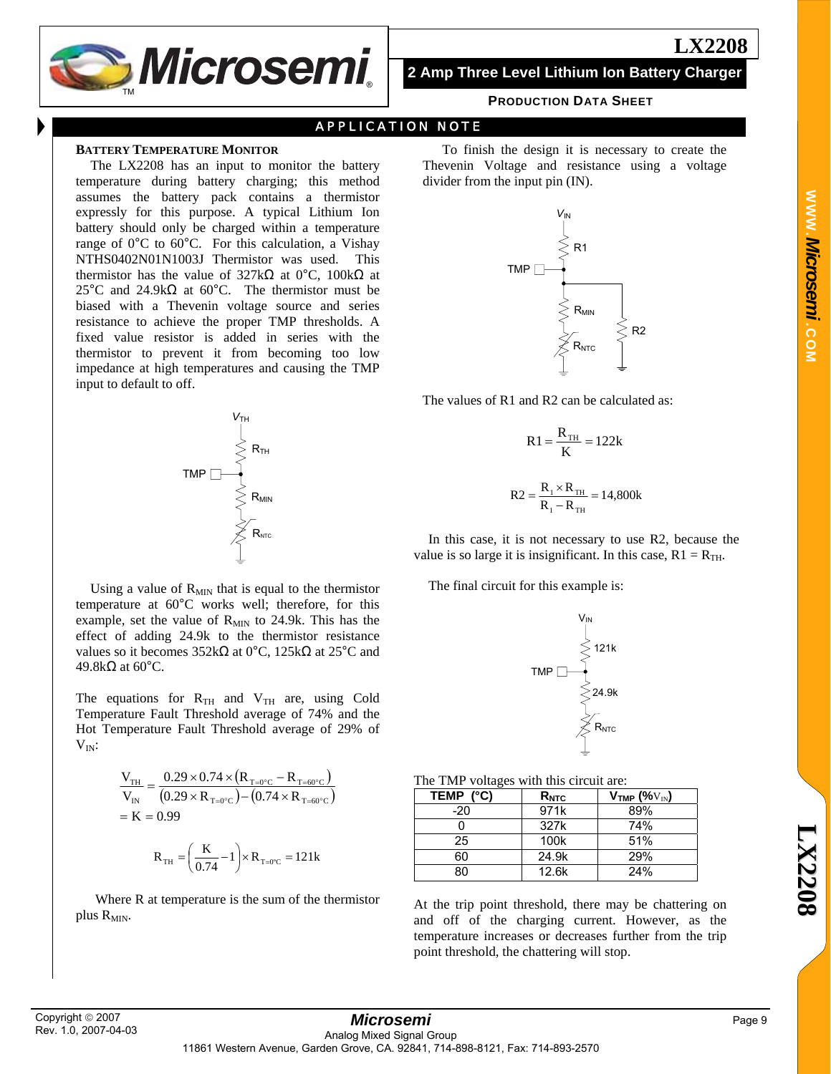

**2 Amp Three Level Lithium Ion Battery Charger**

#### **PRODUCTION DATA SHEET**

## APPLICATION NOTE

#### **BATTERY TEMPERATURE MONITOR**

The LX2208 has an input to monitor the battery temperature during battery charging; this method assumes the battery pack contains a thermistor expressly for this purpose. A typical Lithium Ion battery should only be charged within a temperature range of 0°C to 60°C. For this calculation, a Vishay NTHS0402N01N1003J Thermistor was used. This thermistor has the value of 327kΩ at 0°C, 100kΩ at 25°C and 24.9k $\Omega$  at 60°C. The thermistor must be biased with a Thevenin voltage source and series resistance to achieve the proper TMP thresholds. A fixed value resistor is added in series with the thermistor to prevent it from becoming too low impedance at high temperatures and causing the TMP input to default to off.



Using a value of  $R_{MIN}$  that is equal to the thermistor temperature at 60°C works well; therefore, for this example, set the value of  $R_{MIN}$  to 24.9k. This has the effect of adding 24.9k to the thermistor resistance values so it becomes  $352kΩ$  at 0°C,  $125kΩ$  at  $25°C$  and 49.8kΩ at 60°C.

The equations for  $R_{TH}$  and  $V_{TH}$  are, using Cold Temperature Fault Threshold average of 74% and the Hot Temperature Fault Threshold average of 29% of  $V_{IN}$ :

$$
\frac{V_{TH}}{V_{IN}} = \frac{0.29 \times 0.74 \times (R_{T=0°C} - R_{T=60°C})}{(0.29 \times R_{T=0°C}) - (0.74 \times R_{T=60°C})}
$$

$$
= K = 0.99
$$

$$
R_{TH} = \left(\frac{K}{0.74} - 1\right) \times R_{T=0°C} = 121k
$$

Where R at temperature is the sum of the thermistor plus  $R_{MIN}$ .

To finish the design it is necessary to create the Thevenin Voltage and resistance using a voltage divider from the input pin (IN).



The values of R1 and R2 can be calculated as:

$$
R1 = \frac{R_{\text{TH}}}{K} = 122k
$$

$$
R2 = \frac{R_{1} \times R_{TH}}{R_{1} - R_{TH}} = 14,800k
$$

In this case, it is not necessary to use R2, because the value is so large it is insignificant. In this case,  $R1 = R_{TH}$ .

The final circuit for this example is:



The TMP voltages with this circuit are:

| TEMP (°C) | $R_{NTC}$ | $V$ <sub>TMP</sub> (% $V_{IN}$ ) |
|-----------|-----------|----------------------------------|
| $-20$     | 971k      | 89%                              |
|           | 327k      | 74%                              |
| 25        | 100k      | 51%                              |
| 60        | 24.9k     | 29%                              |
| 80        | 12.6k     | 24%                              |

At the trip point threshold, there may be chattering on and off of the charging current. However, as the temperature increases or decreases further from the trip point threshold, the chattering will stop.

**L X 2 2 0**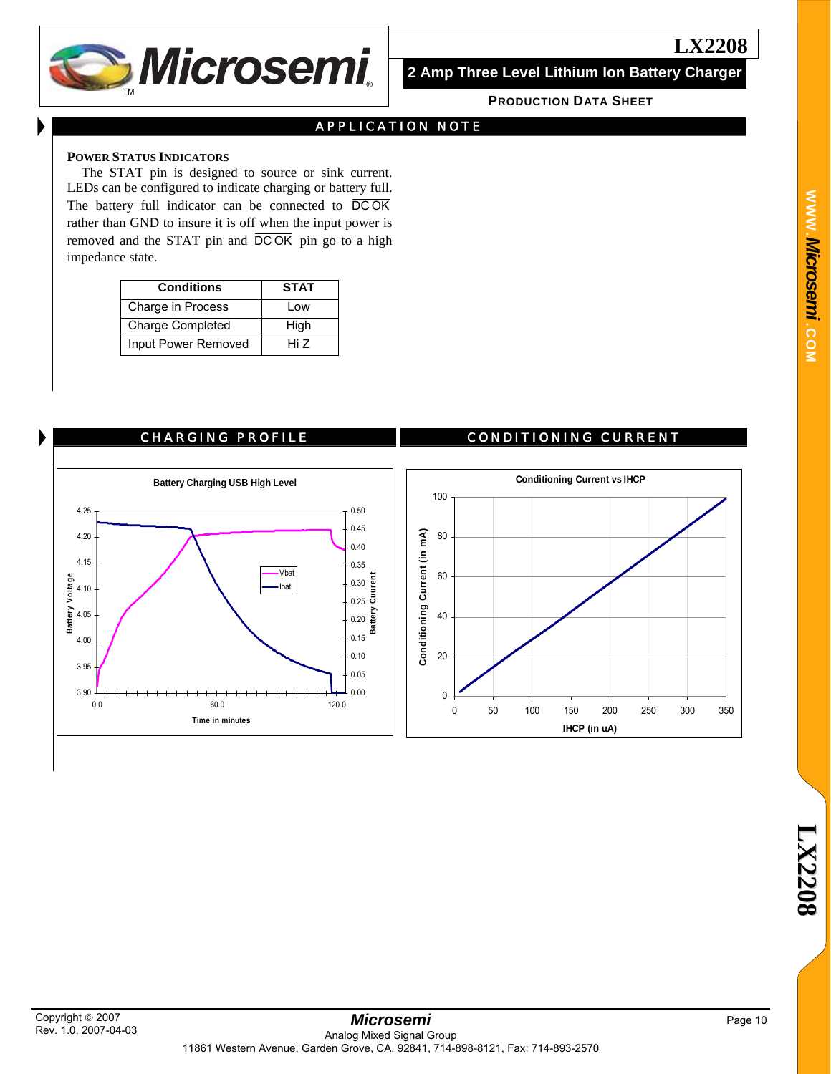

**2 Amp Three Level Lithium Ion Battery Charger**

**LX2208**

#### **PRODUCTION DATA SHEET**

## APPLICATION NOTE

#### **POWER STATUS INDICATORS**

The STAT pin is designed to source or sink current. LEDs can be configured to indicate charging or battery full. The battery full indicator can be connected to DCOK rather than GND to insure it is off when the input power is removed and the STAT pin and  $\overline{DCOK}$  pin go to a high impedance state.

| <b>Conditions</b>       | <b>STAT</b> |
|-------------------------|-------------|
| Charge in Process       | Low         |
| <b>Charge Completed</b> | High        |
| Input Power Removed     | Hi 7        |



#### CHARGING PROFILE CONDITIONING CURRENT